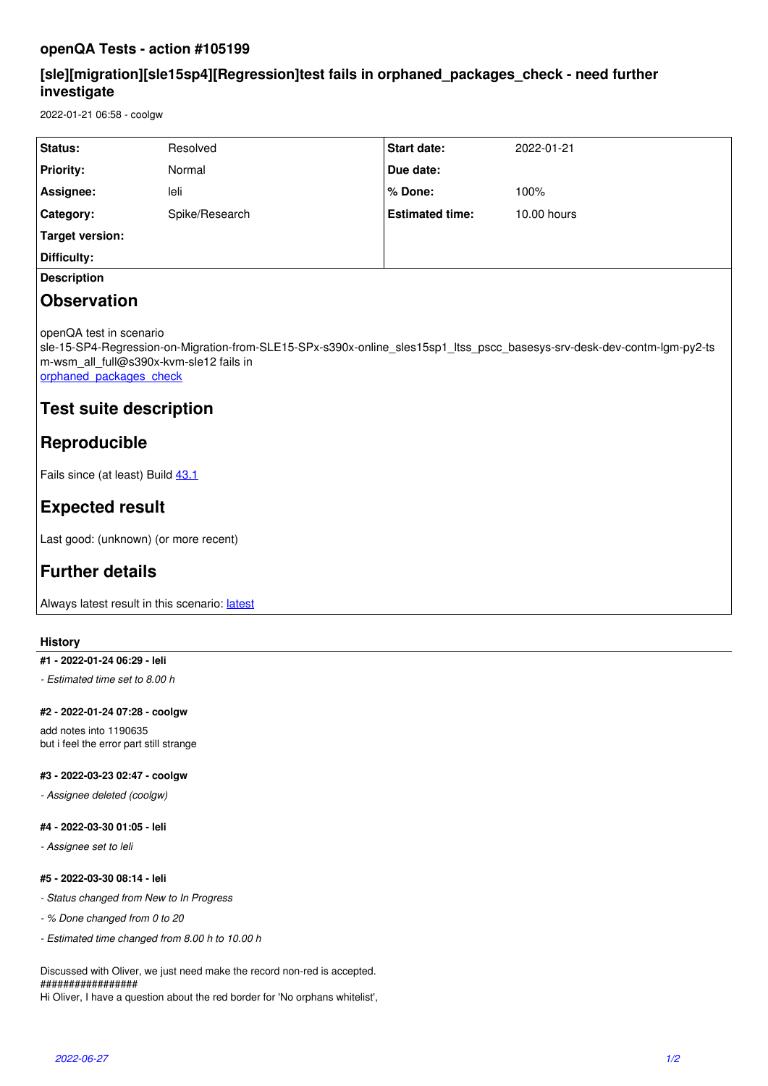### **openQA Tests - action #105199**

## **[sle][migration][sle15sp4][Regression]test fails in orphaned\_packages\_check - need further investigate**

2022-01-21 06:58 - coolgw

| Status:          | Resolved       | <b>Start date:</b>     | 2022-01-21  |
|------------------|----------------|------------------------|-------------|
| <b>Priority:</b> | Normal         | Due date:              |             |
| Assignee:        | leli           | l % Done:              | 100%        |
| Category:        | Spike/Research | <b>Estimated time:</b> | 10.00 hours |
| Target version:  |                |                        |             |
| Difficulty:      |                |                        |             |
|                  |                |                        |             |

### **Description**

## **Observation**

openQA test in scenario

sle-15-SP4-Regression-on-Migration-from-SLE15-SPx-s390x-online\_sles15sp1\_ltss\_pscc\_basesys-srv-desk-dev-contm-lgm-py2-ts m-wsm\_all\_full@s390x-kvm-sle12 fails in

orphaned packages check

## **Test suite description**

## **Reproducible**

Fails since (at least) Build [43.1](https://openqa.nue.suse.com/tests/7263451)

# **Expected result**

Last good: (unknown) (or more recent)

# **Further details**

Always [latest](https://openqa.nue.suse.com/tests/latest?arch=s390x&distri=sle&flavor=Regression-on-Migration-from-SLE15-SPx&machine=s390x-kvm-sle12&test=online_sles15sp1_ltss_pscc_basesys-srv-desk-dev-contm-lgm-py2-tsm-wsm_all_full&version=15-SP4) result in this scenario: latest

#### **History**

#### **#1 - 2022-01-24 06:29 - leli**

*- Estimated time set to 8.00 h*

#### **#2 - 2022-01-24 07:28 - coolgw**

add notes into 1190635 but i feel the error part still strange

#### **#3 - 2022-03-23 02:47 - coolgw**

*- Assignee deleted (coolgw)*

#### **#4 - 2022-03-30 01:05 - leli**

*- Assignee set to leli*

#### **#5 - 2022-03-30 08:14 - leli**

- *Status changed from New to In Progress*
- *% Done changed from 0 to 20*
- *Estimated time changed from 8.00 h to 10.00 h*

Discussed with Oliver, we just need make the record non-red is accepted. #################

Hi Oliver, I have a question about the red border for 'No orphans whitelist',